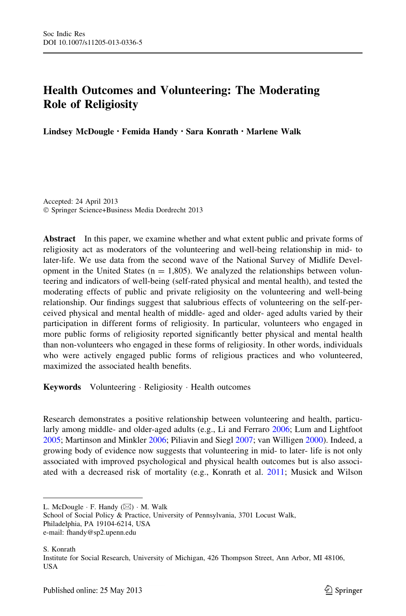# Health Outcomes and Volunteering: The Moderating Role of Religiosity

Lindsey McDougle • Femida Handy • Sara Konrath • Marlene Walk

Accepted: 24 April 2013 - Springer Science+Business Media Dordrecht 2013

Abstract In this paper, we examine whether and what extent public and private forms of religiosity act as moderators of the volunteering and well-being relationship in mid- to later-life. We use data from the second wave of the National Survey of Midlife Development in the United States ( $n = 1,805$ ). We analyzed the relationships between volunteering and indicators of well-being (self-rated physical and mental health), and tested the moderating effects of public and private religiosity on the volunteering and well-being relationship. Our findings suggest that salubrious effects of volunteering on the self-perceived physical and mental health of middle- aged and older- aged adults varied by their participation in different forms of religiosity. In particular, volunteers who engaged in more public forms of religiosity reported significantly better physical and mental health than non-volunteers who engaged in these forms of religiosity. In other words, individuals who were actively engaged public forms of religious practices and who volunteered, maximized the associated health benefits.

Keywords Volunteering · Religiosity · Health outcomes

Research demonstrates a positive relationship between volunteering and health, particu-larly among middle- and older-aged adults (e.g., Li and Ferraro [2006;](#page-13-0) Lum and Lightfoot [2005;](#page-13-0) Martinson and Minkler [2006](#page-13-0); Piliavin and Siegl [2007](#page-14-0); van Willigen [2000\)](#page-14-0). Indeed, a growing body of evidence now suggests that volunteering in mid- to later- life is not only associated with improved psychological and physical health outcomes but is also associated with a decreased risk of mortality (e.g., Konrath et al. [2011](#page-13-0); Musick and Wilson

L. McDougle  $\cdot$  F. Handy ( $\boxtimes$ )  $\cdot$  M. Walk

School of Social Policy & Practice, University of Pennsylvania, 3701 Locust Walk, Philadelphia, PA 19104-6214, USA

e-mail: fhandy@sp2.upenn.edu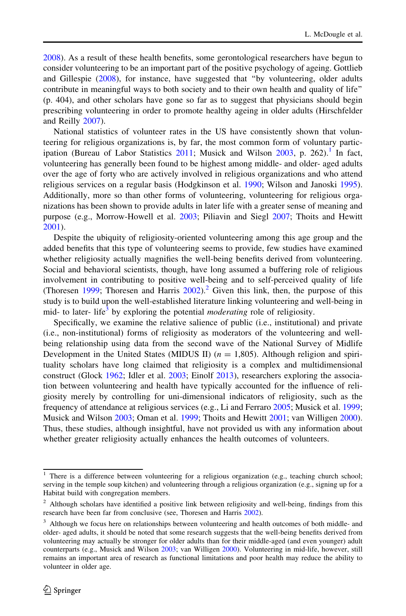[2008\)](#page-14-0). As a result of these health benefits, some gerontological researchers have begun to consider volunteering to be an important part of the positive psychology of ageing. Gottlieb and Gillespie ([2008\)](#page-12-0), for instance, have suggested that ''by volunteering, older adults contribute in meaningful ways to both society and to their own health and quality of life'' (p. 404), and other scholars have gone so far as to suggest that physicians should begin prescribing volunteering in order to promote healthy ageing in older adults (Hirschfelder and Reilly [2007\)](#page-13-0).

National statistics of volunteer rates in the US have consistently shown that volunteering for religious organizations is, by far, the most common form of voluntary participation (Bureau of Labor Statistics  $2011$ ; Musick and Wilson  $2003$ , p. 262).<sup>1</sup> In fact, volunteering has generally been found to be highest among middle- and older- aged adults over the age of forty who are actively involved in religious organizations and who attend religious services on a regular basis (Hodgkinson et al. [1990](#page-13-0); Wilson and Janoski [1995](#page-14-0)). Additionally, more so than other forms of volunteering, volunteering for religious organizations has been shown to provide adults in later life with a greater sense of meaning and purpose (e.g., Morrow-Howell et al. [2003](#page-13-0); Piliavin and Siegl [2007;](#page-14-0) Thoits and Hewitt [2001\)](#page-14-0).

Despite the ubiquity of religiosity-oriented volunteering among this age group and the added benefits that this type of volunteering seems to provide, few studies have examined whether religiosity actually magnifies the well-being benefits derived from volunteering. Social and behavioral scientists, though, have long assumed a buffering role of religious involvement in contributing to positive well-being and to self-perceived quality of life (Thoresen [1999;](#page-14-0) Thoresen and Harris  $2002$ ).<sup>2</sup> Given this link, then, the purpose of this study is to build upon the well-established literature linking volunteering and well-being in mid- to later- life<sup>3</sup> by exploring the potential *moderating* role of religiosity.

Specifically, we examine the relative salience of public (i.e., institutional) and private (i.e., non-institutional) forms of religiosity as moderators of the volunteering and wellbeing relationship using data from the second wave of the National Survey of Midlife Development in the United States (MIDUS II)  $(n = 1,805)$ . Although religion and spirituality scholars have long claimed that religiosity is a complex and multidimensional construct (Glock [1962](#page-12-0); Idler et al. [2003](#page-13-0); Einolf [2013](#page-12-0)), researchers exploring the association between volunteering and health have typically accounted for the influence of religiosity merely by controlling for uni-dimensional indicators of religiosity, such as the frequency of attendance at religious services (e.g., Li and Ferraro [2005;](#page-13-0) Musick et al. [1999;](#page-14-0) Musick and Wilson [2003](#page-14-0); Oman et al. [1999;](#page-14-0) Thoits and Hewitt [2001;](#page-14-0) van Willigen [2000](#page-14-0)). Thus, these studies, although insightful, have not provided us with any information about whether greater religiosity actually enhances the health outcomes of volunteers.

<sup>&</sup>lt;sup>1</sup> There is a difference between volunteering for a religious organization (e.g., teaching church school; serving in the temple soup kitchen) and volunteering through a religious organization (e.g., signing up for a Habitat build with congregation members.

 $2$  Although scholars have identified a positive link between religiosity and well-being, findings from this research have been far from conclusive (see, Thoresen and Harris [2002](#page-14-0)).

<sup>3</sup> Although we focus here on relationships between volunteering and health outcomes of both middle- and older- aged adults, it should be noted that some research suggests that the well-being benefits derived from volunteering may actually be stronger for older adults than for their middle-aged (and even younger) adult counterparts (e.g., Musick and Wilson [2003;](#page-14-0) van Willigen [2000\)](#page-14-0). Volunteering in mid-life, however, still remains an important area of research as functional limitations and poor health may reduce the ability to volunteer in older age.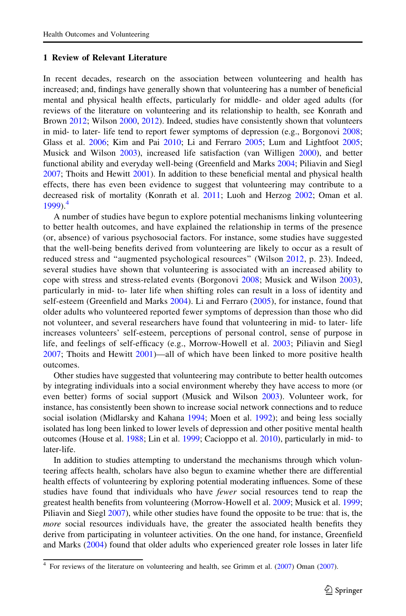## 1 Review of Relevant Literature

In recent decades, research on the association between volunteering and health has increased; and, findings have generally shown that volunteering has a number of beneficial mental and physical health effects, particularly for middle- and older aged adults (for reviews of the literature on volunteering and its relationship to health, see Konrath and Brown [2012](#page-13-0); Wilson [2000](#page-14-0), [2012](#page-14-0)). Indeed, studies have consistently shown that volunteers in mid- to later- life tend to report fewer symptoms of depression (e.g., Borgonovi [2008;](#page-12-0) Glass et al. [2006](#page-12-0); Kim and Pai [2010](#page-13-0); Li and Ferraro [2005](#page-13-0); Lum and Lightfoot [2005;](#page-13-0) Musick and Wilson [2003\)](#page-14-0), increased life satisfaction (van Willigen [2000\)](#page-14-0), and better functional ability and everyday well-being (Greenfield and Marks [2004](#page-13-0); Piliavin and Siegl [2007;](#page-14-0) Thoits and Hewitt [2001\)](#page-14-0). In addition to these beneficial mental and physical health effects, there has even been evidence to suggest that volunteering may contribute to a decreased risk of mortality (Konrath et al. [2011;](#page-13-0) Luoh and Herzog [2002](#page-13-0); Oman et al.  $1999$ ).<sup>4</sup>

A number of studies have begun to explore potential mechanisms linking volunteering to better health outcomes, and have explained the relationship in terms of the presence (or, absence) of various psychosocial factors. For instance, some studies have suggested that the well-being benefits derived from volunteering are likely to occur as a result of reduced stress and "augmented psychological resources" (Wilson [2012](#page-14-0), p. 23). Indeed, several studies have shown that volunteering is associated with an increased ability to cope with stress and stress-related events (Borgonovi [2008;](#page-12-0) Musick and Wilson [2003\)](#page-14-0), particularly in mid- to- later life when shifting roles can result in a loss of identity and self-esteem (Greenfield and Marks [2004\)](#page-13-0). Li and Ferraro [\(2005\)](#page-13-0), for instance, found that older adults who volunteered reported fewer symptoms of depression than those who did not volunteer, and several researchers have found that volunteering in mid- to later- life increases volunteers' self-esteem, perceptions of personal control, sense of purpose in life, and feelings of self-efficacy (e.g., Morrow-Howell et al. [2003;](#page-13-0) Piliavin and Siegl [2007](#page-14-0); Thoits and Hewitt [2001](#page-14-0))—all of which have been linked to more positive health outcomes.

Other studies have suggested that volunteering may contribute to better health outcomes by integrating individuals into a social environment whereby they have access to more (or even better) forms of social support (Musick and Wilson [2003\)](#page-14-0). Volunteer work, for instance, has consistently been shown to increase social network connections and to reduce social isolation (Midlarsky and Kahana [1994;](#page-13-0) Moen et al. [1992\)](#page-13-0); and being less socially isolated has long been linked to lower levels of depression and other positive mental health outcomes (House et al. [1988;](#page-13-0) Lin et al. [1999](#page-13-0); Cacioppo et al. [2010\)](#page-12-0), particularly in mid- to later-life.

In addition to studies attempting to understand the mechanisms through which volunteering affects health, scholars have also begun to examine whether there are differential health effects of volunteering by exploring potential moderating influences. Some of these studies have found that individuals who have fewer social resources tend to reap the greatest health benefits from volunteering (Morrow-Howell et al. [2009](#page-13-0); Musick et al. [1999;](#page-14-0) Piliavin and Siegl [2007\)](#page-14-0), while other studies have found the opposite to be true: that is, the more social resources individuals have, the greater the associated health benefits they derive from participating in volunteer activities. On the one hand, for instance, Greenfield and Marks ([2004\)](#page-13-0) found that older adults who experienced greater role losses in later life

<sup>&</sup>lt;sup>4</sup> For reviews of the literature on volunteering and health, see Grimm et al. [\(2007\)](#page-13-0) Oman ([2007\)](#page-14-0).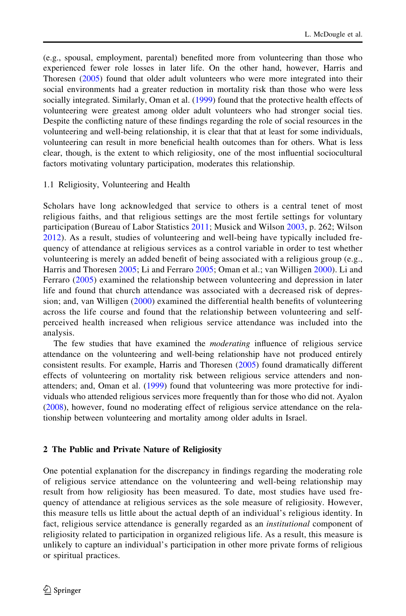(e.g., spousal, employment, parental) benefited more from volunteering than those who experienced fewer role losses in later life. On the other hand, however, Harris and Thoresen [\(2005\)](#page-13-0) found that older adult volunteers who were more integrated into their social environments had a greater reduction in mortality risk than those who were less socially integrated. Similarly, Oman et al. [\(1999](#page-14-0)) found that the protective health effects of volunteering were greatest among older adult volunteers who had stronger social ties. Despite the conflicting nature of these findings regarding the role of social resources in the volunteering and well-being relationship, it is clear that that at least for some individuals, volunteering can result in more beneficial health outcomes than for others. What is less clear, though, is the extent to which religiosity, one of the most influential sociocultural factors motivating voluntary participation, moderates this relationship.

#### 1.1 Religiosity, Volunteering and Health

Scholars have long acknowledged that service to others is a central tenet of most religious faiths, and that religious settings are the most fertile settings for voluntary participation (Bureau of Labor Statistics [2011;](#page-12-0) Musick and Wilson [2003](#page-14-0), p. 262; Wilson [2012](#page-14-0)). As a result, studies of volunteering and well-being have typically included frequency of attendance at religious services as a control variable in order to test whether volunteering is merely an added benefit of being associated with a religious group (e.g., Harris and Thoresen [2005](#page-13-0); Li and Ferraro [2005](#page-13-0); Oman et al.; van Willigen [2000](#page-14-0)). Li and Ferraro ([2005](#page-13-0)) examined the relationship between volunteering and depression in later life and found that church attendance was associated with a decreased risk of depression; and, van Willigen ([2000](#page-14-0)) examined the differential health benefits of volunteering across the life course and found that the relationship between volunteering and selfperceived health increased when religious service attendance was included into the analysis.

The few studies that have examined the moderating influence of religious service attendance on the volunteering and well-being relationship have not produced entirely consistent results. For example, Harris and Thoresen [\(2005](#page-13-0)) found dramatically different effects of volunteering on mortality risk between religious service attenders and nonattenders; and, Oman et al. ([1999\)](#page-14-0) found that volunteering was more protective for individuals who attended religious services more frequently than for those who did not. Ayalon ([2008\)](#page-12-0), however, found no moderating effect of religious service attendance on the relationship between volunteering and mortality among older adults in Israel.

#### 2 The Public and Private Nature of Religiosity

One potential explanation for the discrepancy in findings regarding the moderating role of religious service attendance on the volunteering and well-being relationship may result from how religiosity has been measured. To date, most studies have used frequency of attendance at religious services as the sole measure of religiosity. However, this measure tells us little about the actual depth of an individual's religious identity. In fact, religious service attendance is generally regarded as an *institutional* component of religiosity related to participation in organized religious life. As a result, this measure is unlikely to capture an individual's participation in other more private forms of religious or spiritual practices.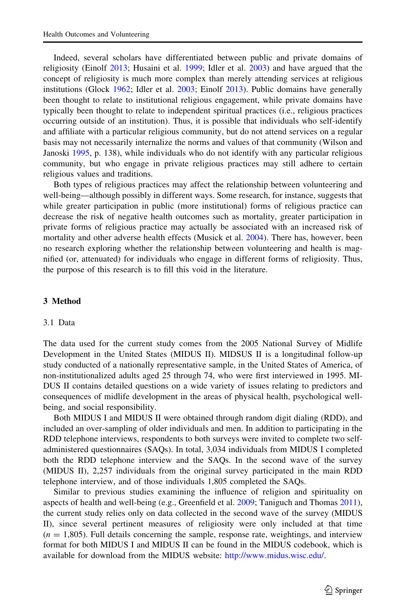Indeed, several scholars have differentiated between public and private domains of religiosity (Einolf [2013](#page-12-0); Husaini et al. [1999](#page-13-0); Idler et al. [2003\)](#page-13-0) and have argued that the concept of religiosity is much more complex than merely attending services at religious institutions (Glock [1962](#page-12-0); Idler et al. [2003;](#page-13-0) Einolf [2013](#page-12-0)). Public domains have generally been thought to relate to institutional religious engagement, while private domains have typically been thought to relate to independent spiritual practices (i.e., religious practices occurring outside of an institution). Thus, it is possible that individuals who self-identify and affiliate with a particular religious community, but do not attend services on a regular basis may not necessarily internalize the norms and values of that community (Wilson and Janoski [1995](#page-14-0), p. 138), while individuals who do not identify with any particular religious community, but who engage in private religious practices may still adhere to certain religious values and traditions.

Both types of religious practices may affect the relationship between volunteering and well-being—although possibly in different ways. Some research, for instance, suggests that while greater participation in public (more institutional) forms of religious practice can decrease the risk of negative health outcomes such as mortality, greater participation in private forms of religious practice may actually be associated with an increased risk of mortality and other adverse health effects (Musick et al. [2004](#page-14-0)). There has, however, been no research exploring whether the relationship between volunteering and health is magnified (or, attenuated) for individuals who engage in different forms of religiosity. Thus, the purpose of this research is to fill this void in the literature.

#### 3 Method

#### 3.1 Data

The data used for the current study comes from the 2005 National Survey of Midlife Development in the United States (MIDUS II). MIDSUS II is a longitudinal follow-up study conducted of a nationally representative sample, in the United States of America, of non-institutionalized adults aged 25 through 74, who were first interviewed in 1995. MI-DUS II contains detailed questions on a wide variety of issues relating to predictors and consequences of midlife development in the areas of physical health, psychological wellbeing, and social responsibility.

Both MIDUS I and MIDUS II were obtained through random digit dialing (RDD), and included an over-sampling of older individuals and men. In addition to participating in the RDD telephone interviews, respondents to both surveys were invited to complete two selfadministered questionnaires (SAQs). In total, 3,034 individuals from MIDUS I completed both the RDD telephone interview and the SAQs. In the second wave of the survey (MIDUS II), 2,257 individuals from the original survey participated in the main RDD telephone interview, and of those individuals 1,805 completed the SAQs.

Similar to previous studies examining the influence of religion and spirituality on aspects of health and well-being (e.g., Greenfield et al. [2009;](#page-13-0) Taniguch and Thomas [2011](#page-14-0)), the current study relies only on data collected in the second wave of the survey (MIDUS II), since several pertinent measures of religiosity were only included at that time  $(n = 1,805)$ . Full details concerning the sample, response rate, weightings, and interview format for both MIDUS I and MIDUS II can be found in the MIDUS codebook, which is available for download from the MIDUS website: [http://www.midus.wisc.edu/.](http://www.midus.wisc.edu/)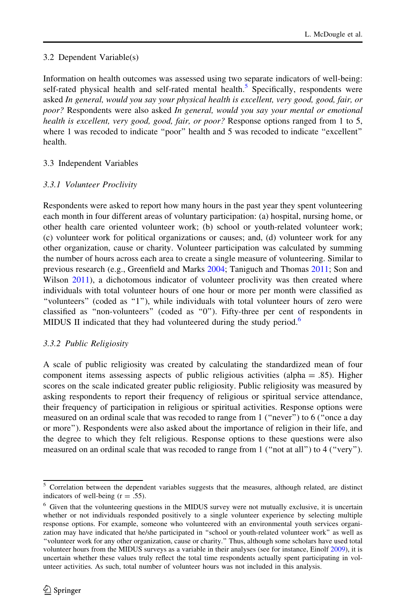# 3.2 Dependent Variable(s)

Information on health outcomes was assessed using two separate indicators of well-being: self-rated physical health and self-rated mental health.<sup>5</sup> Specifically, respondents were asked In general, would you say your physical health is excellent, very good, good, fair, or poor? Respondents were also asked In general, would you say your mental or emotional health is excellent, very good, good, fair, or poor? Response options ranged from 1 to 5, where 1 was recoded to indicate "poor" health and 5 was recoded to indicate "excellent" health.

# 3.3 Independent Variables

# 3.3.1 Volunteer Proclivity

Respondents were asked to report how many hours in the past year they spent volunteering each month in four different areas of voluntary participation: (a) hospital, nursing home, or other health care oriented volunteer work; (b) school or youth-related volunteer work; (c) volunteer work for political organizations or causes; and, (d) volunteer work for any other organization, cause or charity. Volunteer participation was calculated by summing the number of hours across each area to create a single measure of volunteering. Similar to previous research (e.g., Greenfield and Marks [2004](#page-13-0); Taniguch and Thomas [2011](#page-14-0); Son and Wilson [2011](#page-14-0)), a dichotomous indicator of volunteer proclivity was then created where individuals with total volunteer hours of one hour or more per month were classified as ''volunteers'' (coded as ''1''), while individuals with total volunteer hours of zero were classified as ''non-volunteers'' (coded as ''0''). Fifty-three per cent of respondents in MIDUS II indicated that they had volunteered during the study period.<sup>6</sup>

# 3.3.2 Public Religiosity

A scale of public religiosity was created by calculating the standardized mean of four component items assessing aspects of public religious activities (alpha  $= .85$ ). Higher scores on the scale indicated greater public religiosity. Public religiosity was measured by asking respondents to report their frequency of religious or spiritual service attendance, their frequency of participation in religious or spiritual activities. Response options were measured on an ordinal scale that was recoded to range from 1 (''never'') to 6 (''once a day or more''). Respondents were also asked about the importance of religion in their life, and the degree to which they felt religious. Response options to these questions were also measured on an ordinal scale that was recoded to range from 1 (''not at all'') to 4 (''very'').

<sup>5</sup> Correlation between the dependent variables suggests that the measures, although related, are distinct indicators of well-being  $(r = .55)$ .

<sup>6</sup> Given that the volunteering questions in the MIDUS survey were not mutually exclusive, it is uncertain whether or not individuals responded positively to a single volunteer experience by selecting multiple response options. For example, someone who volunteered with an environmental youth services organization may have indicated that he/she participated in "school or youth-related volunteer work" as well as ''volunteer work for any other organization, cause or charity.'' Thus, although some scholars have used total volunteer hours from the MIDUS surveys as a variable in their analyses (see for instance, Einolf [2009\)](#page-12-0), it is uncertain whether these values truly reflect the total time respondents actually spent participating in volunteer activities. As such, total number of volunteer hours was not included in this analysis.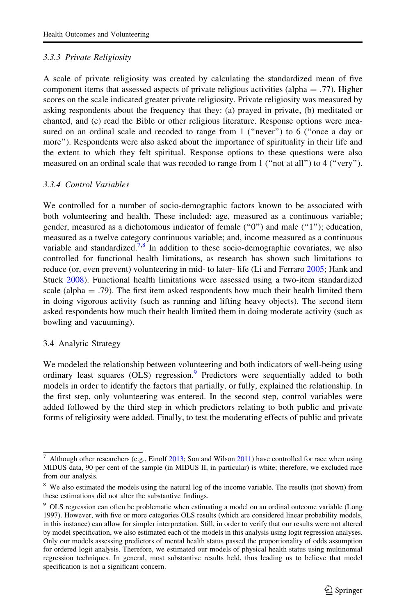# 3.3.3 Private Religiosity

A scale of private religiosity was created by calculating the standardized mean of five component items that assessed aspects of private religious activities (alpha  $=$  .77). Higher scores on the scale indicated greater private religiosity. Private religiosity was measured by asking respondents about the frequency that they: (a) prayed in private, (b) meditated or chanted, and (c) read the Bible or other religious literature. Response options were measured on an ordinal scale and recoded to range from 1 ("never") to 6 ("once a day or more''). Respondents were also asked about the importance of spirituality in their life and the extent to which they felt spiritual. Response options to these questions were also measured on an ordinal scale that was recoded to range from 1 (''not at all'') to 4 (''very'').

## 3.3.4 Control Variables

We controlled for a number of socio-demographic factors known to be associated with both volunteering and health. These included: age, measured as a continuous variable; gender, measured as a dichotomous indicator of female (''0'') and male (''1''); education, measured as a twelve category continuous variable; and, income measured as a continuous variable and standardized.<sup>7,8</sup> In addition to these socio-demographic covariates, we also controlled for functional health limitations, as research has shown such limitations to reduce (or, even prevent) volunteering in mid- to later- life (Li and Ferraro [2005](#page-13-0); Hank and Stuck [2008](#page-13-0)). Functional health limitations were assessed using a two-item standardized scale (alpha  $=$  .79). The first item asked respondents how much their health limited them in doing vigorous activity (such as running and lifting heavy objects). The second item asked respondents how much their health limited them in doing moderate activity (such as bowling and vacuuming).

## 3.4 Analytic Strategy

We modeled the relationship between volunteering and both indicators of well-being using ordinary least squares (OLS) regression.<sup>9</sup> Predictors were sequentially added to both models in order to identify the factors that partially, or fully, explained the relationship. In the first step, only volunteering was entered. In the second step, control variables were added followed by the third step in which predictors relating to both public and private forms of religiosity were added. Finally, to test the moderating effects of public and private

Although other researchers (e.g., Einolf [2013;](#page-12-0) Son and Wilson [2011](#page-14-0)) have controlled for race when using MIDUS data, 90 per cent of the sample (in MIDUS II, in particular) is white; therefore, we excluded race from our analysis.

<sup>&</sup>lt;sup>8</sup> We also estimated the models using the natural log of the income variable. The results (not shown) from these estimations did not alter the substantive findings.

<sup>&</sup>lt;sup>9</sup> OLS regression can often be problematic when estimating a model on an ordinal outcome variable (Long 1997). However, with five or more categories OLS results (which are considered linear probability models, in this instance) can allow for simpler interpretation. Still, in order to verify that our results were not altered by model specification, we also estimated each of the models in this analysis using logit regression analyses. Only our models assessing predictors of mental health status passed the proportionality of odds assumption for ordered logit analysis. Therefore, we estimated our models of physical health status using multinomial regression techniques. In general, most substantive results held, thus leading us to believe that model specification is not a significant concern.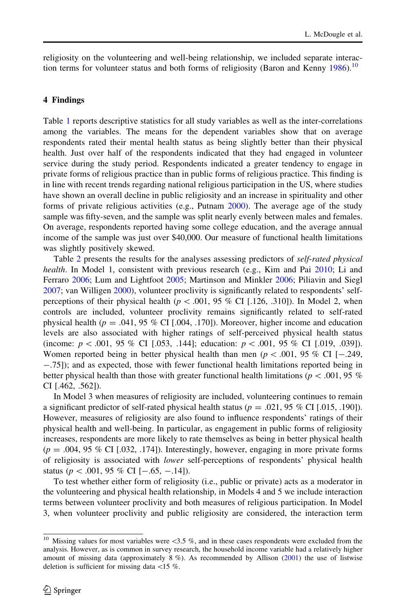religiosity on the volunteering and well-being relationship, we included separate interac-tion terms for volunteer status and both forms of religiosity (Baron and Kenny [1986](#page-12-0)).<sup>10</sup>

#### 4 Findings

Table [1](#page-8-0) reports descriptive statistics for all study variables as well as the inter-correlations among the variables. The means for the dependent variables show that on average respondents rated their mental health status as being slightly better than their physical health. Just over half of the respondents indicated that they had engaged in volunteer service during the study period. Respondents indicated a greater tendency to engage in private forms of religious practice than in public forms of religious practice. This finding is in line with recent trends regarding national religious participation in the US, where studies have shown an overall decline in public religiosity and an increase in spirituality and other forms of private religious activities (e.g., Putnam [2000\)](#page-14-0). The average age of the study sample was fifty-seven, and the sample was split nearly evenly between males and females. On average, respondents reported having some college education, and the average annual income of the sample was just over \$40,000. Our measure of functional health limitations was slightly positively skewed.

Table [2](#page-9-0) presents the results for the analyses assessing predictors of self-rated physical health. In Model 1, consistent with previous research (e.g., Kim and Pai [2010;](#page-13-0) Li and Ferraro [2006;](#page-13-0) Lum and Lightfoot [2005](#page-13-0); Martinson and Minkler [2006](#page-13-0); Piliavin and Siegl [2007;](#page-14-0) van Willigen [2000\)](#page-14-0), volunteer proclivity is significantly related to respondents' selfperceptions of their physical health ( $p < .001$ , 95 % CI [.126, .310]). In Model 2, when controls are included, volunteer proclivity remains significantly related to self-rated physical health ( $p = .041, 95\%$  CI [.004, .170]). Moreover, higher income and education levels are also associated with higher ratings of self-perceived physical health status (income:  $p \lt .001$ , 95 % CI [.053, .144]; education:  $p \lt .001$ , 95 % CI [.019, .039]). Women reported being in better physical health than men ( $p < .001$ , 95 % CI [-.249, -.75]); and as expected, those with fewer functional health limitations reported being in better physical health than those with greater functional health limitations ( $p\lt 0.001$ , 95 % CI [.462, .562]).

In Model 3 when measures of religiosity are included, volunteering continues to remain a significant predictor of self-rated physical health status ( $p = .021, 95\%$  CI [.015, .190]). However, measures of religiosity are also found to influence respondents' ratings of their physical health and well-being. In particular, as engagement in public forms of religiosity increases, respondents are more likely to rate themselves as being in better physical health  $(p = .004, 95\% \text{ CI}$  [.032, .174]). Interestingly, however, engaging in more private forms of religiosity is associated with lower self-perceptions of respondents' physical health status ( $p \lt .001$ , 95 % CI [-.65, -.14]).

To test whether either form of religiosity (i.e., public or private) acts as a moderator in the volunteering and physical health relationship, in Models 4 and 5 we include interaction terms between volunteer proclivity and both measures of religious participation. In Model 3, when volunteer proclivity and public religiosity are considered, the interaction term

<sup>&</sup>lt;sup>10</sup> Missing values for most variables were <3.5 %, and in these cases respondents were excluded from the analysis. However, as is common in survey research, the household income variable had a relatively higher amount of missing data (approximately 8 %). As recommended by Allison ([2001\)](#page-12-0) the use of listwise deletion is sufficient for missing data  $\langle 15 \, \% \rangle$ .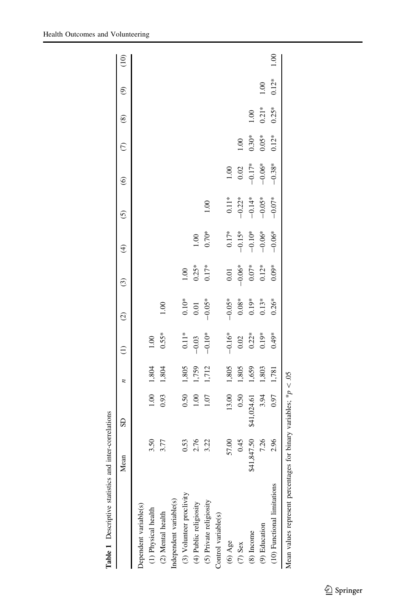<span id="page-8-0"></span>

|                             | <b>Aean</b>                | SD                                          | $\overline{a}$                           | $\ominus$                                            | $\odot$                                                      | ල                                                                                                   | E)                                                                                                                  | ତି                                                      | $\widehat{\circ}$                | E       | ⊗       | ම       | $\frac{10}{2}$ |
|-----------------------------|----------------------------|---------------------------------------------|------------------------------------------|------------------------------------------------------|--------------------------------------------------------------|-----------------------------------------------------------------------------------------------------|---------------------------------------------------------------------------------------------------------------------|---------------------------------------------------------|----------------------------------|---------|---------|---------|----------------|
| Dependent variable(s)       |                            |                                             |                                          |                                                      |                                                              |                                                                                                     |                                                                                                                     |                                                         |                                  |         |         |         |                |
| (1) Physical health         |                            |                                             | 1,804                                    |                                                      |                                                              |                                                                                                     |                                                                                                                     |                                                         |                                  |         |         |         |                |
| (2) Mental health           | 3.50<br>3.77               | $\begin{array}{c} 1.00 \\ 0.93 \end{array}$ | 1,804                                    | $1.00$<br>$0.5$ <sup>*</sup>                         | $\frac{00}{1}$                                               |                                                                                                     |                                                                                                                     |                                                         |                                  |         |         |         |                |
| Independent variable(s)     |                            |                                             |                                          |                                                      |                                                              |                                                                                                     |                                                                                                                     |                                                         |                                  |         |         |         |                |
| (3) Volunteer proclivity    |                            |                                             | 1,805                                    |                                                      |                                                              | 1.00                                                                                                |                                                                                                                     |                                                         |                                  |         |         |         |                |
| (4) Public religiosity      | $0.53$<br>$2.76$<br>$3.22$ | $\begin{array}{c} 0.50 \\ 1.00 \end{array}$ | 1,759<br>1,712                           | $\frac{1}{11}$ = 0.10*                               | $0.10*$<br>0.01<br>0.05                                      | $0.25*$<br>0.17*                                                                                    | 1.00                                                                                                                |                                                         |                                  |         |         |         |                |
| (5) Private religiosity     |                            | 1.07                                        |                                          |                                                      |                                                              |                                                                                                     | $0.70*$                                                                                                             | 00.1                                                    |                                  |         |         |         |                |
| Control variable(s)         |                            |                                             |                                          |                                                      |                                                              |                                                                                                     |                                                                                                                     |                                                         |                                  |         |         |         |                |
| $(6)$ Age                   |                            | 13.00                                       |                                          |                                                      |                                                              |                                                                                                     |                                                                                                                     |                                                         |                                  |         |         |         |                |
| $(7)$ Sex                   | 57.00<br>0.45              | 0.50                                        | $1,805$<br>$1,805$<br>$1,803$<br>$1,803$ | $-0.16*$<br>$-0.02$<br>$0.27*$<br>$0.19*$<br>$0.49*$ | $-0.05$<br>$0.08$<br>$0.13$<br>$0.13$<br>$0.26$ <sup>*</sup> | $0.01$<br>$-0.06$ <sup>*</sup><br>$0.07$ <sup>*</sup><br>$0.12$ <sup>*</sup><br>$0.09$ <sup>*</sup> | $0.17$ <sup>*</sup><br>$-0.15$ <sup>*</sup><br>$-0.10$ <sup>*</sup><br>$-0.06$ <sup>*</sup><br>$-0.06$ <sup>*</sup> | $0.11*$<br>$-0.22*$<br>$-0.54*$<br>$-0.05*$<br>$-0.05*$ | 1.00<br>0.02<br>-0.17*<br>-0.06* | 00.1    |         |         |                |
| (8) Income                  | \$41,847.50                | \$41,024.61                                 |                                          |                                                      |                                                              |                                                                                                     |                                                                                                                     |                                                         |                                  | $0.30*$ | 00.1    |         |                |
| (9) Education               | $7.26$<br>2.96             | 3.94<br>0.97                                |                                          |                                                      |                                                              |                                                                                                     |                                                                                                                     |                                                         |                                  | $0.05*$ | $0.21*$ | 00.1    |                |
| (10) Functional limitations |                            |                                             | 1,781                                    |                                                      |                                                              |                                                                                                     |                                                                                                                     |                                                         |                                  | $0.12*$ | $0.25*$ | $0.12*$ | 001            |

Table 1 Descriptive statistics and inter-correlations Table 1 Descriptive statistics and inter-correlations

Mean values represent percentages for binary variables;  $* p < .05$ Mean values represent percentages for binary variables;  $*_{p}$  < 05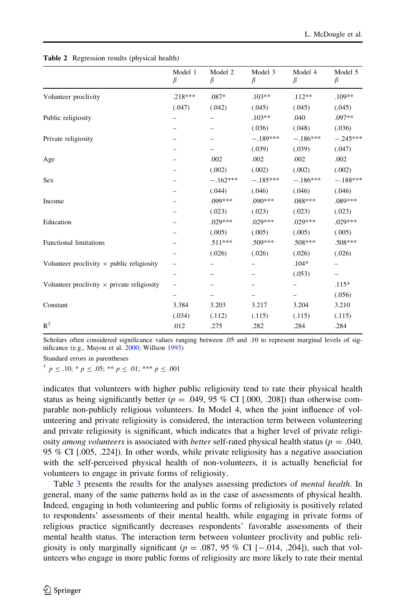|                                                   | Model 1<br>$\beta$ | Model 2<br>β | Model 3<br>$\beta$ | Model 4<br>$\beta$ | Model 5<br>$\beta$ |
|---------------------------------------------------|--------------------|--------------|--------------------|--------------------|--------------------|
| Volunteer proclivity                              | $.218***$          | $.087*$      | $.103**$           | $.112**$           | $.109**$           |
|                                                   | (.047)             | (.042)       | (.045)             | (.045)             | (.045)             |
| Public religiosity                                |                    |              | $.103**$           | .040               | .097**             |
|                                                   |                    |              | (.036)             | (.048)             | (.036)             |
| Private religiosity                               |                    |              | $-.189***$         | $-.186***$         | $-.245***$         |
|                                                   |                    |              | (.039)             | (.039)             | (.047)             |
| Age                                               |                    | .002         | .002               | .002               | .002               |
|                                                   |                    | (.002)       | (.002)             | (.002)             | (.002)             |
| Sex                                               |                    | $-.162***$   | $-.185***$         | $-.186***$         | $-.188***$         |
|                                                   |                    | (.044)       | (.046)             | (.046)             | (.046)             |
| Income                                            |                    | $.099***$    | .090***            | .088***            | .089***            |
|                                                   |                    | (.023)       | (.023)             | (.023)             | (.023)             |
| Education                                         |                    | $.029***$    | .029***            | .029***            | $.029***$          |
|                                                   |                    | (.005)       | (.005)             | (.005)             | (.005)             |
| <b>Functional limitations</b>                     |                    | $.511***$    | $.509***$          | .508***            | $.508***$          |
|                                                   |                    | (.026)       | (.026)             | (.026)             | (.026)             |
| Volunteer proclivity $\times$ public religiosity  |                    |              |                    | $.104*$            | -                  |
|                                                   |                    |              |                    | (.053)             |                    |
| Volunteer proclivity $\times$ private religiosity |                    |              |                    |                    | $.115*$            |
|                                                   |                    |              |                    |                    | (.056)             |
| Constant                                          | 3.384              | 3.203        | 3.217              | 3.204              | 3.210              |
|                                                   | (.034)             | (.112)       | (.115)             | (.115)             | (.115)             |
| $R^2$                                             | .012               | .275         | .282               | .284               | .284               |

<span id="page-9-0"></span>

|  | <b>Table 2</b> Regression results (physical health) |  |  |  |
|--|-----------------------------------------------------|--|--|--|
|--|-----------------------------------------------------|--|--|--|

Scholars often considered significance values ranging between .05 and .10 to represent marginal levels of significance (e.g., Mayou et al. [2000](#page-13-0); Willson [1993](#page-14-0))

Standard errors in parentheses

 $p \le 10$ ; \*  $p \le 0.05$ ; \*\*  $p \le 0.01$ ; \*\*\*  $p \le 0.001$ 

indicates that volunteers with higher public religiosity tend to rate their physical health status as being significantly better ( $p = .049, 95\%$  CI [.000, .208]) than otherwise comparable non-publicly religious volunteers. In Model 4, when the joint influence of volunteering and private religiosity is considered, the interaction term between volunteering and private religiosity is significant, which indicates that a higher level of private religiosity *among volunteers* is associated with *better* self-rated physical health status ( $p = .040$ , 95 % CI [.005, .224]). In other words, while private religiosity has a negative association with the self-perceived physical health of non-volunteers, it is actually beneficial for volunteers to engage in private forms of religiosity.

Table [3](#page-10-0) presents the results for the analyses assessing predictors of *mental health*. In general, many of the same patterns hold as in the case of assessments of physical health. Indeed, engaging in both volunteering and public forms of religiosity is positively related to respondents' assessments of their mental health, while engaging in private forms of religious practice significantly decreases respondents' favorable assessments of their mental health status. The interaction term between volunteer proclivity and public religiosity is only marginally significant ( $p = .087, 95\%$  CI [ $-.014, .204$ ]), such that volunteers who engage in more public forms of religiosity are more likely to rate their mental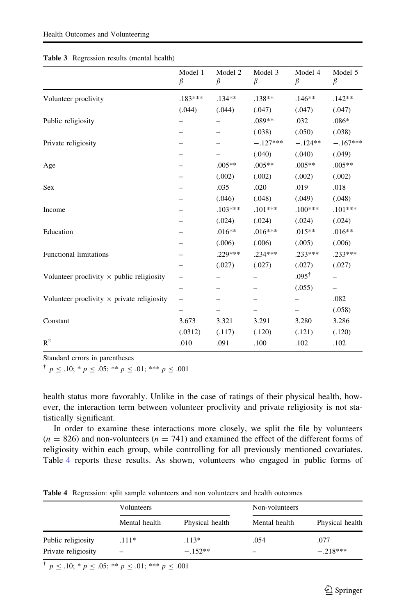|                                                   | Model 1<br>β | Model 2<br>β | Model 3<br>β | Model 4<br>β     | Model 5<br>β |
|---------------------------------------------------|--------------|--------------|--------------|------------------|--------------|
| Volunteer proclivity                              | $.183***$    | $.134**$     | $.138**$     | $.146**$         | $.142**$     |
|                                                   | (.044)       | (.044)       | (.047)       | (.047)           | (.047)       |
| Public religiosity                                |              |              | .089**       | .032             | $.086*$      |
|                                                   |              |              | (.038)       | (.050)           | (.038)       |
| Private religiosity                               |              |              | $-.127***$   | $-.124**$        | $-.167***$   |
|                                                   |              |              | (.040)       | (.040)           | (.049)       |
| Age                                               |              | $.005**$     | $.005**$     | $.005**$         | $.005**$     |
|                                                   |              | (.002)       | (.002)       | (.002)           | (.002)       |
| Sex                                               |              | .035         | .020         | .019             | .018         |
|                                                   |              | (.046)       | (.048)       | (.049)           | (.048)       |
| Income                                            |              | $.103***$    | $.101***$    | $.100***$        | $.101***$    |
|                                                   |              | (.024)       | (.024)       | (.024)           | (.024)       |
| Education                                         |              | $.016**$     | $.016***$    | $.015**$         | $.016**$     |
|                                                   |              | (.006)       | (.006)       | (.005)           | (.006)       |
| <b>Functional limitations</b>                     |              | .229 ***     | $.234***$    | $.233***$        | .233***      |
|                                                   |              | (.027)       | (.027)       | (.027)           | (.027)       |
| Volunteer proclivity $\times$ public religiosity  |              |              |              | $.095^{\dagger}$ |              |
|                                                   |              |              |              | (.055)           |              |
| Volunteer proclivity $\times$ private religiosity |              |              |              |                  | .082         |
|                                                   |              |              |              |                  | (.058)       |
| Constant                                          | 3.673        | 3.321        | 3.291        | 3.280            | 3.286        |
|                                                   | (.0312)      | (.117)       | (.120)       | (.121)           | (.120)       |
| $R^2$                                             | .010         | .091         | .100         | .102             | .102         |

<span id="page-10-0"></span>

|  | Table 3 Regression results (mental health) |  |  |  |
|--|--------------------------------------------|--|--|--|
|--|--------------------------------------------|--|--|--|

Standard errors in parentheses

 $p \leq 0.10; * p \leq 0.05; ** p \leq 0.01; *** p \leq 0.001$ 

health status more favorably. Unlike in the case of ratings of their physical health, however, the interaction term between volunteer proclivity and private religiosity is not statistically significant.

In order to examine these interactions more closely, we split the file by volunteers  $(n = 826)$  and non-volunteers  $(n = 741)$  and examined the effect of the different forms of religiosity within each group, while controlling for all previously mentioned covariates. Table 4 reports these results. As shown, volunteers who engaged in public forms of

Table 4 Regression: split sample volunteers and non volunteers and health outcomes

|                     | Volunteers               |                 | Non-volunteers |                 |
|---------------------|--------------------------|-----------------|----------------|-----------------|
|                     | Mental health            | Physical health | Mental health  | Physical health |
| Public religiosity  | $.111*$                  | $.113*$         | .054           | .077            |
| Private religiosity | $\overline{\phantom{0}}$ | $-.152**$       |                | $-218***$       |

 $p \leq 0.10; * p \leq 0.05; ** p \leq 0.01; *** p \leq 0.001$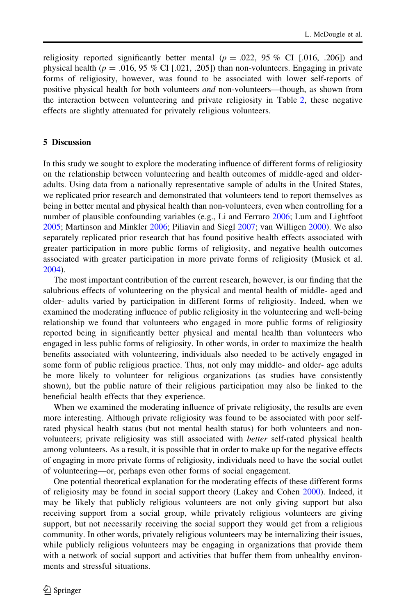religiosity reported significantly better mental ( $p = .022, 95\%$  CI [.016, .206]) and physical health ( $p = .016, 95\%$  CI [.021, .205]) than non-volunteers. Engaging in private forms of religiosity, however, was found to be associated with lower self-reports of positive physical health for both volunteers and non-volunteers—though, as shown from the interaction between volunteering and private religiosity in Table [2,](#page-9-0) these negative effects are slightly attenuated for privately religious volunteers.

## 5 Discussion

In this study we sought to explore the moderating influence of different forms of religiosity on the relationship between volunteering and health outcomes of middle-aged and olderadults. Using data from a nationally representative sample of adults in the United States, we replicated prior research and demonstrated that volunteers tend to report themselves as being in better mental and physical health than non-volunteers, even when controlling for a number of plausible confounding variables (e.g., Li and Ferraro [2006;](#page-13-0) Lum and Lightfoot [2005;](#page-13-0) Martinson and Minkler [2006](#page-13-0); Piliavin and Siegl [2007](#page-14-0); van Willigen [2000](#page-14-0)). We also separately replicated prior research that has found positive health effects associated with greater participation in more public forms of religiosity, and negative health outcomes associated with greater participation in more private forms of religiosity (Musick et al. [2004\)](#page-14-0).

The most important contribution of the current research, however, is our finding that the salubrious effects of volunteering on the physical and mental health of middle- aged and older- adults varied by participation in different forms of religiosity. Indeed, when we examined the moderating influence of public religiosity in the volunteering and well-being relationship we found that volunteers who engaged in more public forms of religiosity reported being in significantly better physical and mental health than volunteers who engaged in less public forms of religiosity. In other words, in order to maximize the health benefits associated with volunteering, individuals also needed to be actively engaged in some form of public religious practice. Thus, not only may middle- and older- age adults be more likely to volunteer for religious organizations (as studies have consistently shown), but the public nature of their religious participation may also be linked to the beneficial health effects that they experience.

When we examined the moderating influence of private religiosity, the results are even more interesting. Although private religiosity was found to be associated with poor selfrated physical health status (but not mental health status) for both volunteers and nonvolunteers; private religiosity was still associated with better self-rated physical health among volunteers. As a result, it is possible that in order to make up for the negative effects of engaging in more private forms of religiosity, individuals need to have the social outlet of volunteering—or, perhaps even other forms of social engagement.

One potential theoretical explanation for the moderating effects of these different forms of religiosity may be found in social support theory (Lakey and Cohen [2000\)](#page-13-0). Indeed, it may be likely that publicly religious volunteers are not only giving support but also receiving support from a social group, while privately religious volunteers are giving support, but not necessarily receiving the social support they would get from a religious community. In other words, privately religious volunteers may be internalizing their issues, while publicly religious volunteers may be engaging in organizations that provide them with a network of social support and activities that buffer them from unhealthy environments and stressful situations.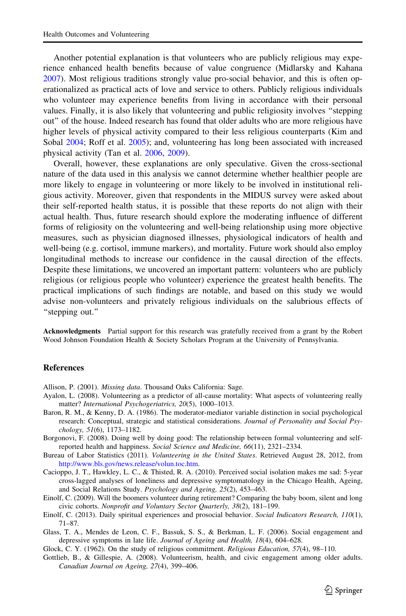<span id="page-12-0"></span>Another potential explanation is that volunteers who are publicly religious may experience enhanced health benefits because of value congruence (Midlarsky and Kahana [2007\)](#page-13-0). Most religious traditions strongly value pro-social behavior, and this is often operationalized as practical acts of love and service to others. Publicly religious individuals who volunteer may experience benefits from living in accordance with their personal values. Finally, it is also likely that volunteering and public religiosity involves ''stepping out'' of the house. Indeed research has found that older adults who are more religious have higher levels of physical activity compared to their less religious counterparts (Kim and Sobal [2004](#page-13-0); Roff et al. [2005](#page-14-0)); and, volunteering has long been associated with increased physical activity (Tan et al. [2006,](#page-14-0) [2009](#page-14-0)).

Overall, however, these explanations are only speculative. Given the cross-sectional nature of the data used in this analysis we cannot determine whether healthier people are more likely to engage in volunteering or more likely to be involved in institutional religious activity. Moreover, given that respondents in the MIDUS survey were asked about their self-reported health status, it is possible that these reports do not align with their actual health. Thus, future research should explore the moderating influence of different forms of religiosity on the volunteering and well-being relationship using more objective measures, such as physician diagnosed illnesses, physiological indicators of health and well-being (e.g. cortisol, immune markers), and mortality. Future work should also employ longitudinal methods to increase our confidence in the causal direction of the effects. Despite these limitations, we uncovered an important pattern: volunteers who are publicly religious (or religious people who volunteer) experience the greatest health benefits. The practical implications of such findings are notable, and based on this study we would advise non-volunteers and privately religious individuals on the salubrious effects of ''stepping out.''

Acknowledgments Partial support for this research was gratefully received from a grant by the Robert Wood Johnson Foundation Health & Society Scholars Program at the University of Pennsylvania.

#### **References**

Allison, P. (2001). *Missing data*. Thousand Oaks California: Sage.

- Ayalon, L. (2008). Volunteering as a predictor of all-cause mortality: What aspects of volunteering really matter? International Psychogeriatrics, 20(5), 1000–1013.
- Baron, R. M., & Kenny, D. A. (1986). The moderator-mediator variable distinction in social psychological research: Conceptual, strategic and statistical considerations. Journal of Personality and Social Psychology, 51(6), 1173–1182.
- Borgonovi, F. (2008). Doing well by doing good: The relationship between formal volunteering and selfreported health and happiness. Social Science and Medicine, 66(11), 2321–2334.
- Bureau of Labor Statistics (2011). Volunteering in the United States. Retrieved August 28, 2012, from <http://www.bls.gov/news.release/volun.toc.htm>.
- Cacioppo, J. T., Hawkley, L. C., & Thisted, R. A. (2010). Perceived social isolation makes me sad: 5-year cross-lagged analyses of loneliness and depressive symptomatology in the Chicago Health, Ageing, and Social Relations Study. Psychology and Ageing, 25(2), 453–463.
- Einolf, C. (2009). Will the boomers volunteer during retirement? Comparing the baby boom, silent and long civic cohorts. Nonprofit and Voluntary Sector Quarterly, 38(2), 181–199.
- Einolf, C. (2013). Daily spiritual experiences and prosocial behavior. Social Indicators Research, 110(1), 71–87.
- Glass, T. A., Mendes de Leon, C. F., Bassuk, S. S., & Berkman, L. F. (2006). Social engagement and depressive symptoms in late life. Journal of Ageing and Health, 18(4), 604–628.
- Glock, C. Y. (1962). On the study of religious commitment. Religious Education, 57(4), 98–110.
- Gottlieb, B., & Gillespie, A. (2008). Volunteerism, health, and civic engagement among older adults. Canadian Journal on Ageing, 27(4), 399–406.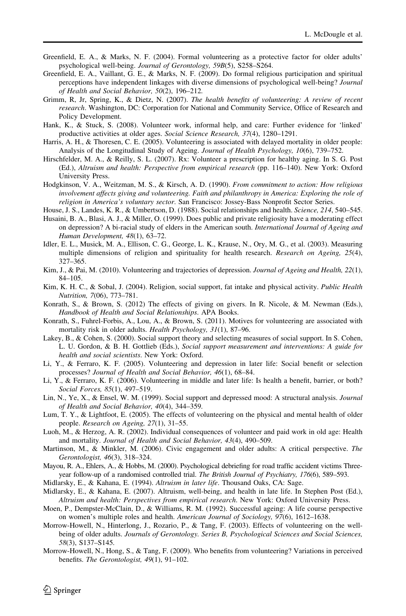- <span id="page-13-0"></span>Greenfield, E. A., & Marks, N. F. (2004). Formal volunteering as a protective factor for older adults' psychological well-being. Journal of Gerontology, 59B(5), S258–S264.
- Greenfield, E. A., Vaillant, G. E., & Marks, N. F. (2009). Do formal religious participation and spiritual perceptions have independent linkages with diverse dimensions of psychological well-being? Journal of Health and Social Behavior, 50(2), 196–212.
- Grimm, R, Jr, Spring, K., & Dietz, N. (2007). The health benefits of volunteering: A review of recent research. Washington, DC: Corporation for National and Community Service, Office of Research and Policy Development.
- Hank, K., & Stuck, S. (2008). Volunteer work, informal help, and care: Further evidence for 'linked' productive activities at older ages. Social Science Research, 37(4), 1280–1291.
- Harris, A. H., & Thoresen, C. E. (2005). Volunteering is associated with delayed mortality in older people: Analysis of the Longitudinal Study of Ageing. Journal of Health Psychology, 10(6), 739–752.
- Hirschfelder, M. A., & Reilly, S. L. (2007). Rx: Volunteer a prescription for healthy aging. In S. G. Post (Ed.), Altruism and health: Perspective from empirical research (pp. 116–140). New York: Oxford University Press.
- Hodgkinson, V. A., Weitzman, M. S., & Kirsch, A. D. (1990). From commitment to action: How religious involvement affects giving and volunteering. Faith and philanthropy in America: Exploring the role of religion in America's voluntary sector. San Francisco: Jossey-Bass Nonprofit Sector Series.
- House, J. S., Landes, K. R., & Umbertson, D. (1988). Social relationships and health. Science, 214, 540–545.
- Husaini, B. A., Blasi, A. J., & Miller, O. (1999). Does public and private religiosity have a moderating effect on depression? A bi-racial study of elders in the American south. International Journal of Ageing and Human Development, 48(1), 63–72.
- Idler, E. L., Musick, M. A., Ellison, C. G., George, L. K., Krause, N., Ory, M. G., et al. (2003). Measuring multiple dimensions of religion and spirituality for health research. Research on Ageing, 25(4), 327–365.
- Kim, J., & Pai, M. (2010). Volunteering and trajectories of depression. Journal of Ageing and Health, 22(1), 84–105.
- Kim, K. H. C., & Sobal, J. (2004). Religion, social support, fat intake and physical activity. Public Health Nutrition, 7(06), 773–781.
- Konrath, S., & Brown, S. (2012) The effects of giving on givers. In R. Nicole, & M. Newman (Eds.), Handbook of Health and Social Relationships. APA Books.
- Konrath, S., Fuhrel-Forbis, A., Lou, A., & Brown, S. (2011). Motives for volunteering are associated with mortality risk in older adults. Health Psychology, 31(1), 87–96.
- Lakey, B., & Cohen, S. (2000). Social support theory and selecting measures of social support. In S. Cohen, L. U. Gordon, & B. H. Gottlieb (Eds.), Social support measurement and interventions: A guide for health and social scientists. New York: Oxford.
- Li, Y., & Ferraro, K. F. (2005). Volunteering and depression in later life: Social benefit or selection processes? Journal of Health and Social Behavior, 46(1), 68–84.
- Li, Y., & Ferraro, K. F. (2006). Volunteering in middle and later life: Is health a benefit, barrier, or both? Social Forces, 85(1), 497–519.
- Lin, N., Ye, X., & Ensel, W. M. (1999). Social support and depressed mood: A structural analysis. *Journal* of Health and Social Behavior, 40(4), 344–359.
- Lum, T. Y., & Lightfoot, E. (2005). The effects of volunteering on the physical and mental health of older people. Research on Ageing, 27(1), 31–55.
- Luoh, M., & Herzog, A. R. (2002). Individual consequences of volunteer and paid work in old age: Health and mortality. Journal of Health and Social Behavior, 43(4), 490–509.
- Martinson, M., & Minkler, M. (2006). Civic engagement and older adults: A critical perspective. The Gerontologist, 46(3), 318–324.
- Mayou, R. A., Ehlers, A., & Hobbs, M. (2000). Psychological debriefing for road traffic accident victims Threeyear follow-up of a randomised controlled trial. The British Journal of Psychiatry, 176(6), 589–593.
- Midlarsky, E., & Kahana, E. (1994). Altruism in later life. Thousand Oaks, CA: Sage.
- Midlarsky, E., & Kahana, E. (2007). Altruism, well-being, and health in late life. In Stephen Post (Ed.), Altruism and health: Perspectives from empirical research. New York: Oxford University Press.
- Moen, P., Dempster-McClain, D., & Williams, R. M. (1992). Successful ageing: A life course perspective on women's multiple roles and health. American Journal of Sociology, 97(6), 1612–1638.
- Morrow-Howell, N., Hinterlong, J., Rozario, P., & Tang, F. (2003). Effects of volunteering on the wellbeing of older adults. Journals of Gerontology. Series B, Psychological Sciences and Social Sciences, 58(3), S137–S145.
- Morrow-Howell, N., Hong, S., & Tang, F. (2009). Who benefits from volunteering? Variations in perceived benefits. The Gerontologist, 49(1), 91–102.